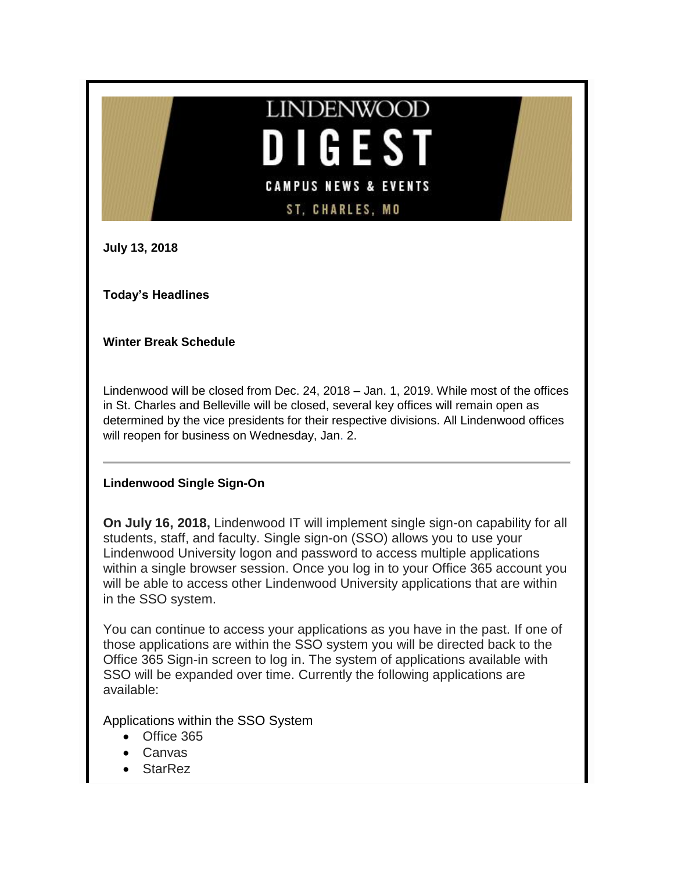# **LINDENWOOD**  $\overline{\phantom{a}}$ GEST **CAMPUS NEWS & EVENTS ST, CHARLES, MO**

**July 13, 2018**

**Today's Headlines**

# **Winter Break Schedule**

Lindenwood will be closed from Dec. 24, 2018 – Jan. 1, 2019. While most of the offices in St. Charles and Belleville will be closed, several key offices will remain open as determined by the vice presidents for their respective divisions. All Lindenwood offices will reopen for business on Wednesday, Jan. 2.

## **Lindenwood Single Sign-On**

**On July 16, 2018,** Lindenwood IT will implement single sign-on capability for all students, staff, and faculty. Single sign-on (SSO) allows you to use your Lindenwood University logon and password to access multiple applications within a single browser session. Once you log in to your Office 365 account you will be able to access other Lindenwood University applications that are within in the SSO system.

You can continue to access your applications as you have in the past. If one of those applications are within the SSO system you will be directed back to the Office 365 Sign-in screen to log in. The system of applications available with SSO will be expanded over time. Currently the following applications are available:

Applications within the SSO System

- Office 365
- Canvas
- **StarRez**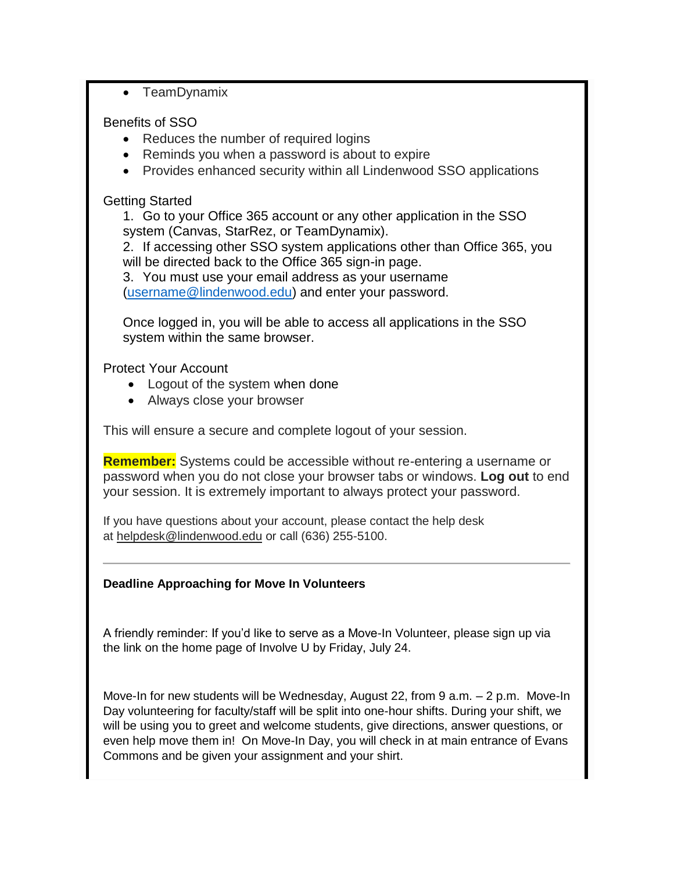• TeamDynamix

# Benefits of SSO

- Reduces the number of required logins
- Reminds you when a password is about to expire
- Provides enhanced security within all Lindenwood SSO applications

# Getting Started

1. Go to your Office 365 account or any other application in the SSO system (Canvas, StarRez, or TeamDynamix).

2. If accessing other SSO system applications other than Office 365, you will be directed back to the Office 365 sign-in page.

3. You must use your email address as your username [\(username@lindenwood.edu\)](mailto:username@lindenwood.edu) and enter your password.

Once logged in, you will be able to access all applications in the SSO system within the same browser.

Protect Your Account

- Logout of the system when done
- Always close your browser

This will ensure a secure and complete logout of your session.

**Remember:** Systems could be accessible without re-entering a username or password when you do not close your browser tabs or windows. **Log out** to end your session. It is extremely important to always protect your password.

If you have questions about your account, please contact the help desk at [helpdesk@lindenwood.edu](mailto:helpdesk@lindenwood.edu) or call (636) 255-5100.

# **Deadline Approaching for Move In Volunteers**

A friendly reminder: If you'd like to serve as a Move-In Volunteer, please sign up via the link on the home page of Involve U by Friday, July 24.

Move-In for new students will be Wednesday, August 22, from 9 a.m. – 2 p.m. Move-In Day volunteering for faculty/staff will be split into one-hour shifts. During your shift, we will be using you to greet and welcome students, give directions, answer questions, or even help move them in! On Move-In Day, you will check in at main entrance of Evans Commons and be given your assignment and your shirt.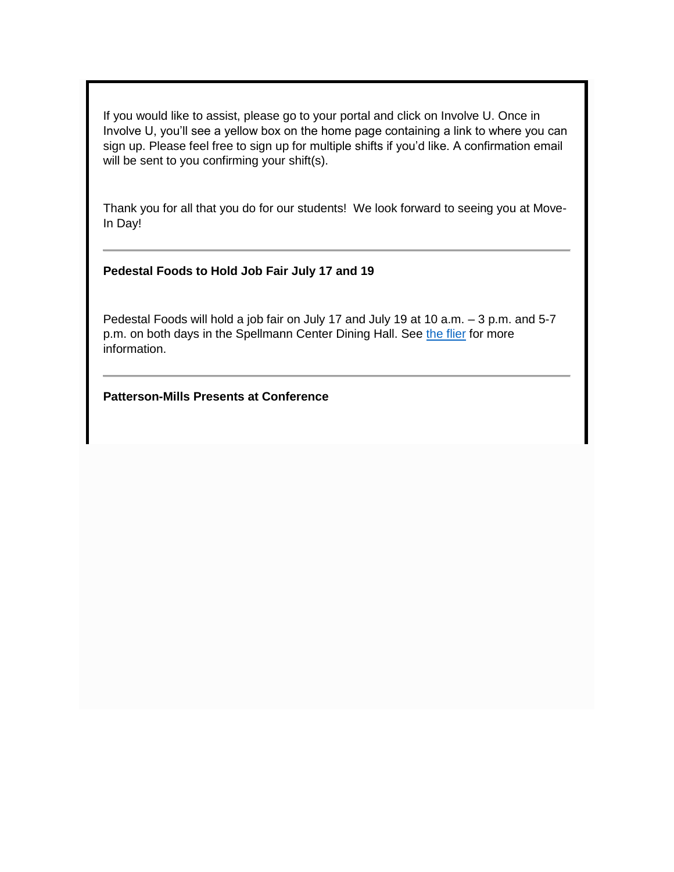If you would like to assist, please go to your portal and click on Involve U. Once in Involve U, you'll see a yellow box on the home page containing a link to where you can sign up. Please feel free to sign up for multiple shifts if you'd like. A confirmation email will be sent to you confirming your shift(s).

Thank you for all that you do for our students! We look forward to seeing you at Move-In Day!

#### **Pedestal Foods to Hold Job Fair July 17 and 19**

Pedestal Foods will hold a job fair on July 17 and July 19 at 10 a.m. – 3 p.m. and 5-7 p.m. on both days in the Spellmann Center Dining Hall. See [the flier](http://felix.lindenwood.edu/newsletter/2018_07/jobfair.pdf) for more information.

#### **Patterson-Mills Presents at Conference**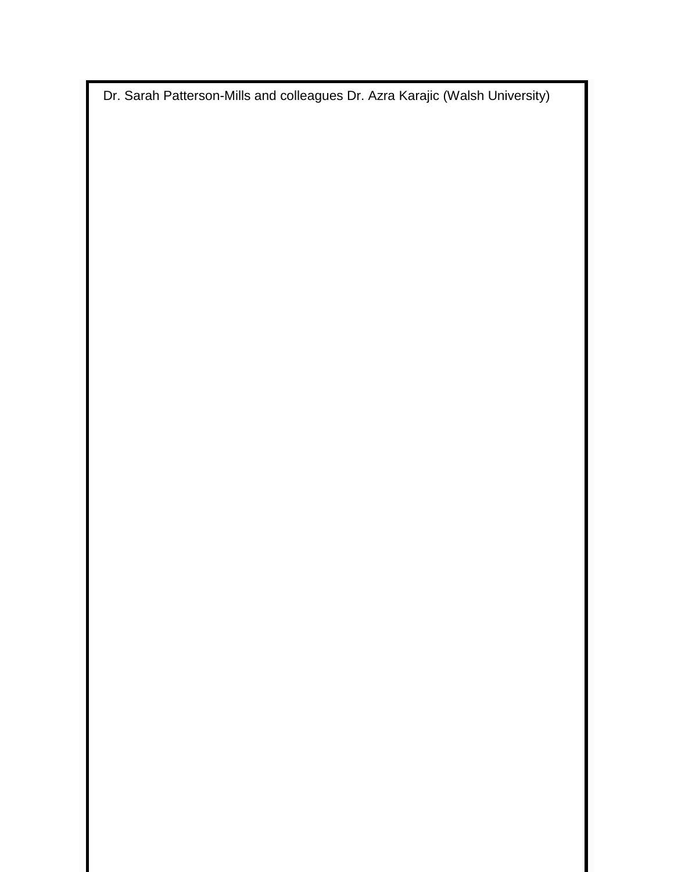Dr. Sarah Patterson-Mills and colleagues Dr. Azra Karajic (Walsh University)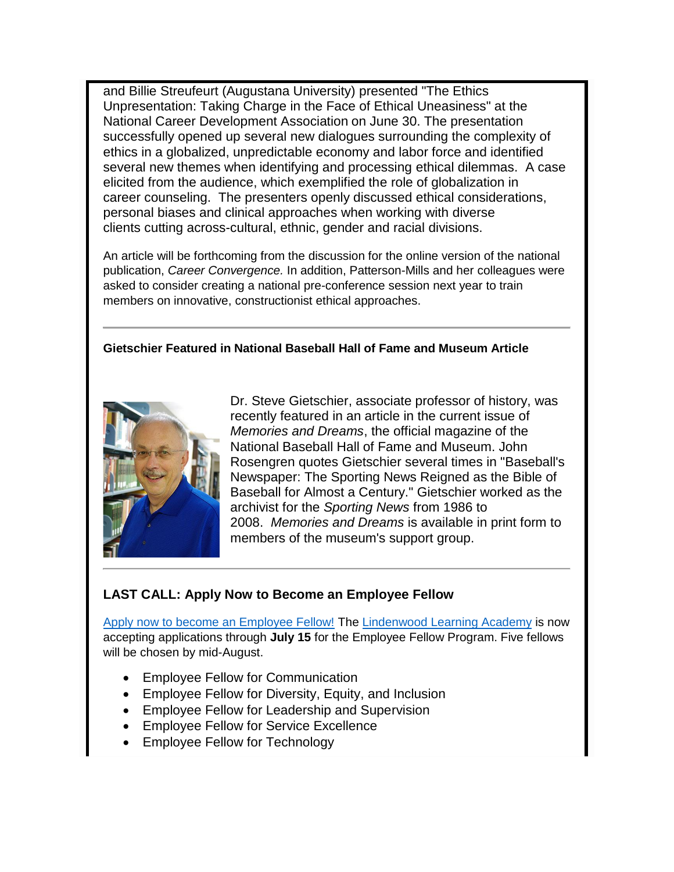and Billie Streufeurt (Augustana University) presented "The Ethics Unpresentation: Taking Charge in the Face of Ethical Uneasiness" at the National Career Development Association on June 30. The presentation successfully opened up several new dialogues surrounding the complexity of ethics in a globalized, unpredictable economy and labor force and identified several new themes when identifying and processing ethical dilemmas. A case elicited from the audience, which exemplified the role of globalization in career counseling. The presenters openly discussed ethical considerations, personal biases and clinical approaches when working with diverse clients cutting across-cultural, ethnic, gender and racial divisions.

An article will be forthcoming from the discussion for the online version of the national publication, *Career Convergence.* In addition, Patterson-Mills and her colleagues were asked to consider creating a national pre-conference session next year to train members on innovative, constructionist ethical approaches.

#### **Gietschier Featured in National Baseball Hall of Fame and Museum Article**



Dr. Steve Gietschier, associate professor of history, was recently featured in an article in the current issue of *Memories and Dreams*, the official magazine of the National Baseball Hall of Fame and Museum. John Rosengren quotes Gietschier several times in "Baseball's Newspaper: The Sporting News Reigned as the Bible of Baseball for Almost a Century." Gietschier worked as the archivist for the *Sporting News* from 1986 to 2008. *Memories and Dreams* is available in print form to members of the museum's support group.

## **LAST CALL: Apply Now to Become an Employee Fellow**

[Apply now to become an Employee Fellow!](https://www.myworkday.com/lindenwood/d/inst/15$158872/9925$3843.htmld) The [Lindenwood Learning Academy](http://www.lindenwood.edu/human-resources/lindenwood-learning-academy/fellows/) is now accepting applications through **July 15** for the Employee Fellow Program. Five fellows will be chosen by mid-August.

- Employee Fellow for Communication
- Employee Fellow for Diversity, Equity, and Inclusion
- Employee Fellow for Leadership and Supervision
- Employee Fellow for Service Excellence
- Employee Fellow for Technology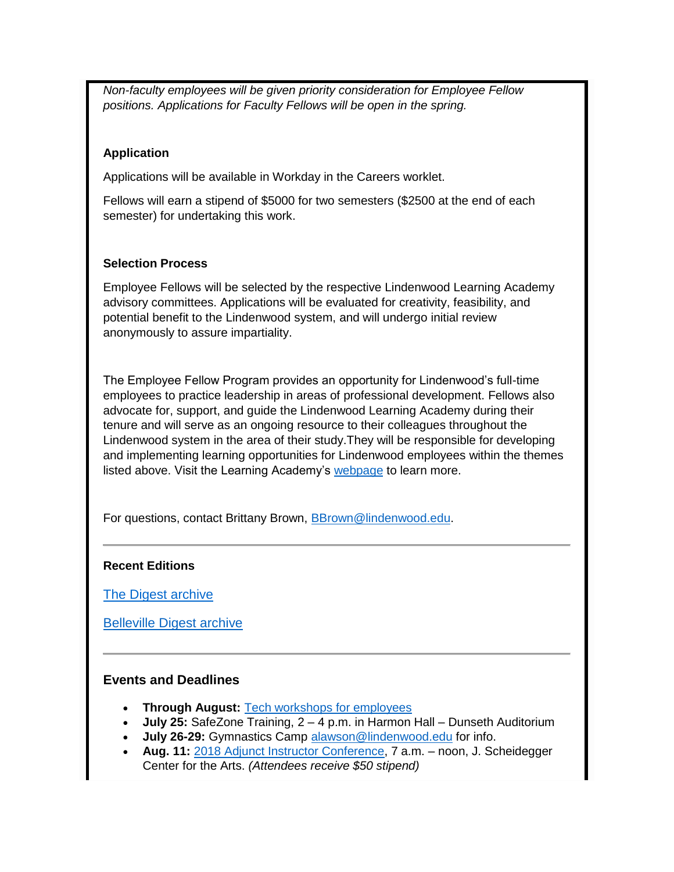*Non-faculty employees will be given priority consideration for Employee Fellow positions. Applications for Faculty Fellows will be open in the spring.* 

#### **Application**

Applications will be available in Workday in the Careers worklet.

Fellows will earn a stipend of \$5000 for two semesters (\$2500 at the end of each semester) for undertaking this work.

#### **Selection Process**

Employee Fellows will be selected by the respective Lindenwood Learning Academy advisory committees. Applications will be evaluated for creativity, feasibility, and potential benefit to the Lindenwood system, and will undergo initial review anonymously to assure impartiality.

The Employee Fellow Program provides an opportunity for Lindenwood's full-time employees to practice leadership in areas of professional development. Fellows also advocate for, support, and guide the Lindenwood Learning Academy during their tenure and will serve as an ongoing resource to their colleagues throughout the Lindenwood system in the area of their study.They will be responsible for developing and implementing learning opportunities for Lindenwood employees within the themes listed above. Visit the Learning Academy's [webpage](http://www.lindenwood.edu/human-resources/lindenwood-learning-academy/fellows/) to learn more.

For questions, contact Brittany Brown, [BBrown@lindenwood.edu.](mailto:BBrown@lindenwood.edu)

#### **Recent Editions**

[The Digest archive](http://www.lindenwood.edu/about/digest-archives/)

[Belleville Digest archive](http://www.lindenwood.edu/belleville/about/lindenwood-belleville-digest-archives/)

## **Events and Deadlines**

- **Through August:** [Tech workshops for employees](http://felix.lindenwood.edu/newsletter/2018_05/summer2018catalog.pdf)
- **July 25:** SafeZone Training, 2 4 p.m. in Harmon Hall Dunseth Auditorium
- **July 26-29:** Gymnastics Camp [alawson@lindenwood.edu](mailto:alawson@lindenwood.edu) for info.
- **Aug. 11:** [2018 Adjunct Instructor Conference,](https://lindenwood.az1.qualtrics.com/SE/?SID=SV_4YL5UBz26JTm9Vz&Q_JFE=0) 7 a.m. noon, J. Scheidegger Center for the Arts. *(Attendees receive \$50 stipend)*